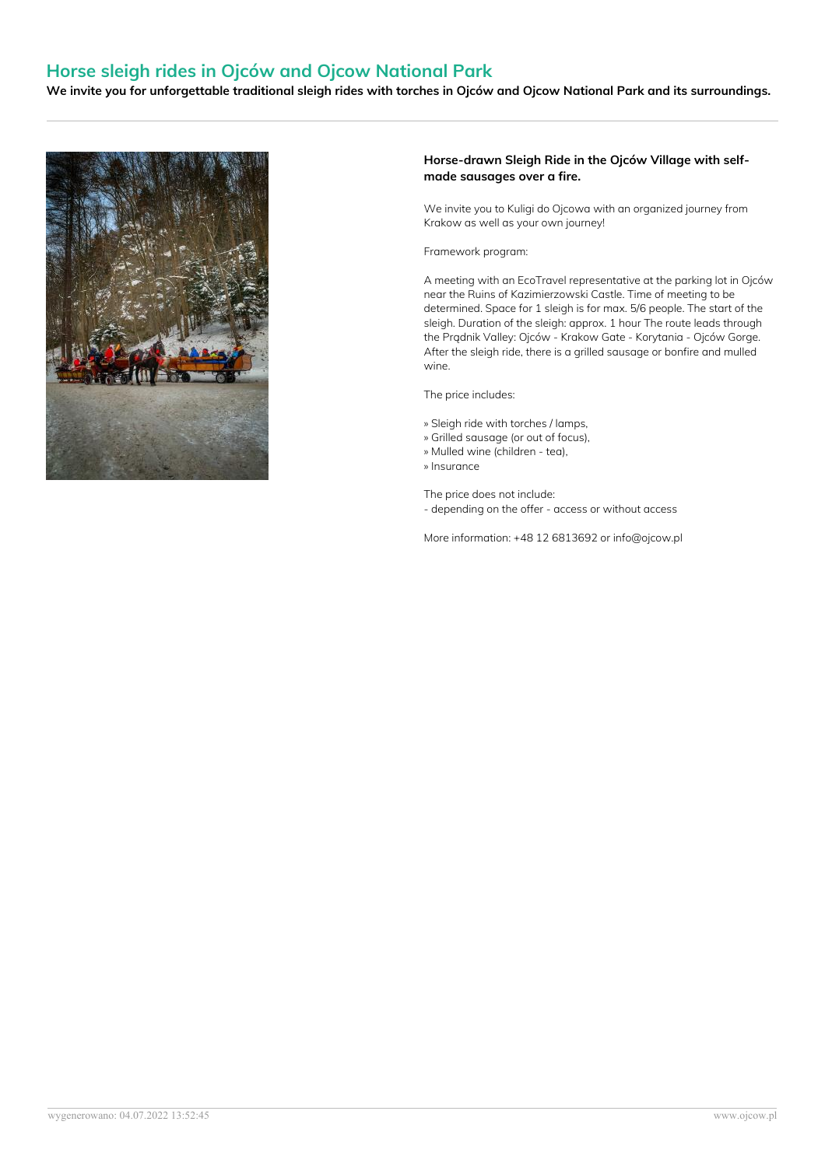# **Horse sleigh rides in Ojców and Ojcow National Park**

We invite you for unforgettable traditional sleigh rides with torches in Ojców and Ojcow National Park and its surroundings.



### **Horse-drawn Sleigh Ride in the Ojców Village with self made sausages over a fire.**

We invite you to Kuligi do Ojcowa with an organized journey from Krakow as well as your own journey!

#### Framework program:

A meeting with an EcoTravel representative at the parking lot in Ojców near the Ruins of Kazimierzowski Castle. Time of meeting to be determined. Space for 1 sleigh is for max. 5/6 people. The start of the sleigh. Duration of the sleigh: approx. 1 hour The route leads through the Prądnik Valley: Ojców - Krakow Gate - Korytania - Ojców Gorge. After the sleigh ride, there is a grilled sausage or bonfire and mulled wine.

The price includes:

- » Sleigh ride with torches / lamps,
- » Grilled sausage (or out of focus),
- » Mulled wine (children tea),
- » Insurance

The price does not include:

- depending on the offer - access or without access

More information: +48 12 6813692 or info@ojcow.pl